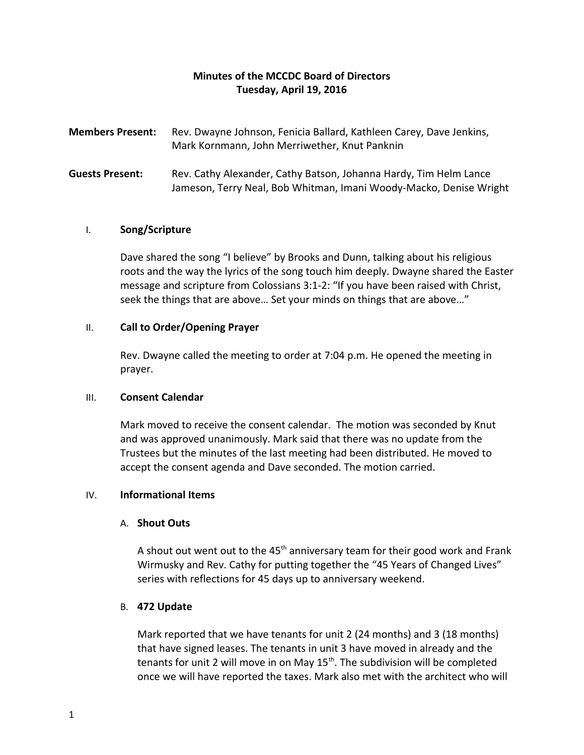# **Minutes of the MCCDC Board of Directors Tuesday, April 19, 2016**

- **Members Present:** Rev. Dwayne Johnson, Fenicia Ballard, Kathleen Carey, Dave Jenkins, Mark Kornmann, John Merriwether, Knut Panknin
- **Guests Present:** Rev. Cathy Alexander, Cathy Batson, Johanna Hardy, Tim Helm Lance Jameson, Terry Neal, Bob Whitman, Imani Woody-Macko, Denise Wright

## I. **Song/Scripture**

Dave shared the song "I believe" by Brooks and Dunn, talking about his religious roots and the way the lyrics of the song touch him deeply. Dwayne shared the Easter message and scripture from Colossians 3:1-2: "If you have been raised with Christ, seek the things that are above… Set your minds on things that are above…"

## II. **Call to Order/Opening Prayer**

Rev. Dwayne called the meeting to order at 7:04 p.m. He opened the meeting in prayer.

### III. **Consent Calendar**

Mark moved to receive the consent calendar. The motion was seconded by Knut and was approved unanimously. Mark said that there was no update from the Trustees but the minutes of the last meeting had been distributed. He moved to accept the consent agenda and Dave seconded. The motion carried.

## IV. **Informational Items**

### A. **Shout Outs**

A shout out went out to the  $45<sup>th</sup>$  anniversary team for their good work and Frank Wirmusky and Rev. Cathy for putting together the "45 Years of Changed Lives" series with reflections for 45 days up to anniversary weekend.

### B. **472 Update**

Mark reported that we have tenants for unit 2 (24 months) and 3 (18 months) that have signed leases. The tenants in unit 3 have moved in already and the tenants for unit 2 will move in on May  $15<sup>th</sup>$ . The subdivision will be completed once we will have reported the taxes. Mark also met with the architect who will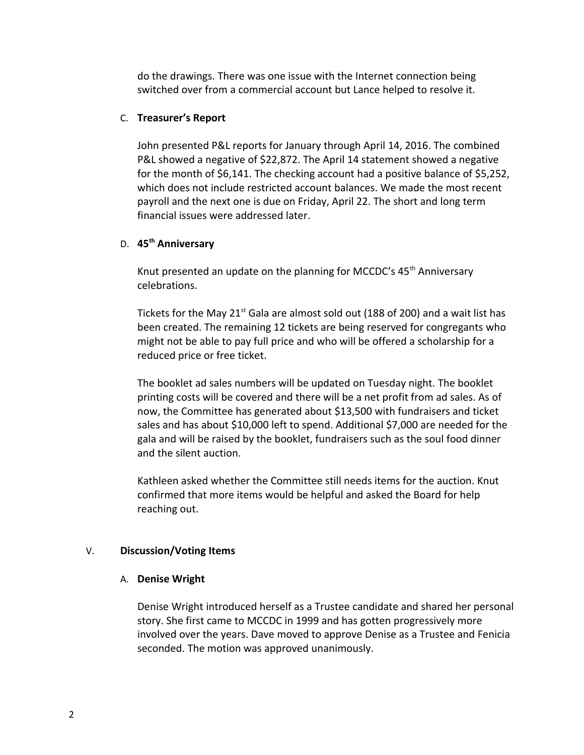do the drawings. There was one issue with the Internet connection being switched over from a commercial account but Lance helped to resolve it.

### C. **Treasurer's Report**

John presented P&L reports for January through April 14, 2016. The combined P&L showed a negative of \$22,872. The April 14 statement showed a negative for the month of \$6,141. The checking account had a positive balance of \$5,252, which does not include restricted account balances. We made the most recent payroll and the next one is due on Friday, April 22. The short and long term financial issues were addressed later.

## D. **45th Anniversary**

Knut presented an update on the planning for MCCDC's  $45<sup>th</sup>$  Anniversary celebrations.

Tickets for the May  $21^{st}$  Gala are almost sold out (188 of 200) and a wait list has been created. The remaining 12 tickets are being reserved for congregants who might not be able to pay full price and who will be offered a scholarship for a reduced price or free ticket.

The booklet ad sales numbers will be updated on Tuesday night. The booklet printing costs will be covered and there will be a net profit from ad sales. As of now, the Committee has generated about \$13,500 with fundraisers and ticket sales and has about \$10,000 left to spend. Additional \$7,000 are needed for the gala and will be raised by the booklet, fundraisers such as the soul food dinner and the silent auction.

Kathleen asked whether the Committee still needs items for the auction. Knut confirmed that more items would be helpful and asked the Board for help reaching out.

## V. **Discussion/Voting Items**

### A. **Denise Wright**

Denise Wright introduced herself as a Trustee candidate and shared her personal story. She first came to MCCDC in 1999 and has gotten progressively more involved over the years. Dave moved to approve Denise as a Trustee and Fenicia seconded. The motion was approved unanimously.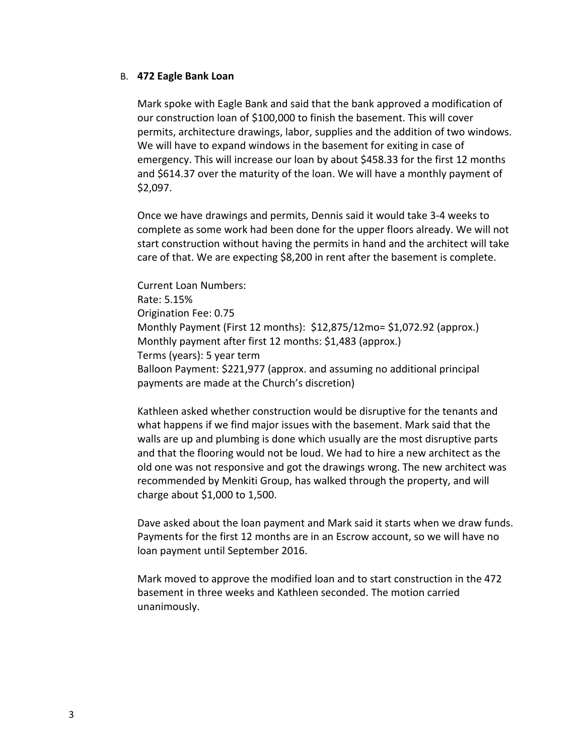### B. **472 Eagle Bank Loan**

Mark spoke with Eagle Bank and said that the bank approved a modification of our construction loan of \$100,000 to finish the basement. This will cover permits, architecture drawings, labor, supplies and the addition of two windows. We will have to expand windows in the basement for exiting in case of emergency. This will increase our loan by about \$458.33 for the first 12 months and \$614.37 over the maturity of the loan. We will have a monthly payment of \$2,097.

Once we have drawings and permits, Dennis said it would take 3-4 weeks to complete as some work had been done for the upper floors already. We will not start construction without having the permits in hand and the architect will take care of that. We are expecting \$8,200 in rent after the basement is complete.

Current Loan Numbers: Rate: 5.15% Origination Fee: 0.75 Monthly Payment (First 12 months): \$12,875/12mo= \$1,072.92 (approx.) Monthly payment after first 12 months: \$1,483 (approx.) Terms (years): 5 year term Balloon Payment: \$221,977 (approx. and assuming no additional principal payments are made at the Church's discretion)

Kathleen asked whether construction would be disruptive for the tenants and what happens if we find major issues with the basement. Mark said that the walls are up and plumbing is done which usually are the most disruptive parts and that the flooring would not be loud. We had to hire a new architect as the old one was not responsive and got the drawings wrong. The new architect was recommended by Menkiti Group, has walked through the property, and will charge about \$1,000 to 1,500.

Dave asked about the loan payment and Mark said it starts when we draw funds. Payments for the first 12 months are in an Escrow account, so we will have no loan payment until September 2016.

Mark moved to approve the modified loan and to start construction in the 472 basement in three weeks and Kathleen seconded. The motion carried unanimously.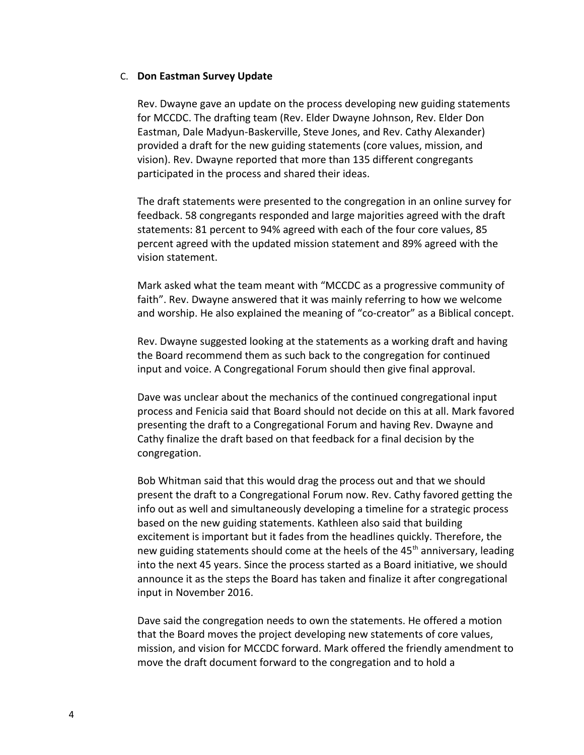### C. **Don Eastman Survey Update**

Rev. Dwayne gave an update on the process developing new guiding statements for MCCDC. The drafting team (Rev. Elder Dwayne Johnson, Rev. Elder Don Eastman, Dale Madyun-Baskerville, Steve Jones, and Rev. Cathy Alexander) provided a draft for the new guiding statements (core values, mission, and vision). Rev. Dwayne reported that more than 135 different congregants participated in the process and shared their ideas.

The draft statements were presented to the congregation in an online survey for feedback. 58 congregants responded and large majorities agreed with the draft statements: 81 percent to 94% agreed with each of the four core values, 85 percent agreed with the updated mission statement and 89% agreed with the vision statement.

Mark asked what the team meant with "MCCDC as a progressive community of faith". Rev. Dwayne answered that it was mainly referring to how we welcome and worship. He also explained the meaning of "co-creator" as a Biblical concept.

Rev. Dwayne suggested looking at the statements as a working draft and having the Board recommend them as such back to the congregation for continued input and voice. A Congregational Forum should then give final approval.

Dave was unclear about the mechanics of the continued congregational input process and Fenicia said that Board should not decide on this at all. Mark favored presenting the draft to a Congregational Forum and having Rev. Dwayne and Cathy finalize the draft based on that feedback for a final decision by the congregation.

Bob Whitman said that this would drag the process out and that we should present the draft to a Congregational Forum now. Rev. Cathy favored getting the info out as well and simultaneously developing a timeline for a strategic process based on the new guiding statements. Kathleen also said that building excitement is important but it fades from the headlines quickly. Therefore, the new guiding statements should come at the heels of the 45<sup>th</sup> anniversary, leading into the next 45 years. Since the process started as a Board initiative, we should announce it as the steps the Board has taken and finalize it after congregational input in November 2016.

Dave said the congregation needs to own the statements. He offered a motion that the Board moves the project developing new statements of core values, mission, and vision for MCCDC forward. Mark offered the friendly amendment to move the draft document forward to the congregation and to hold a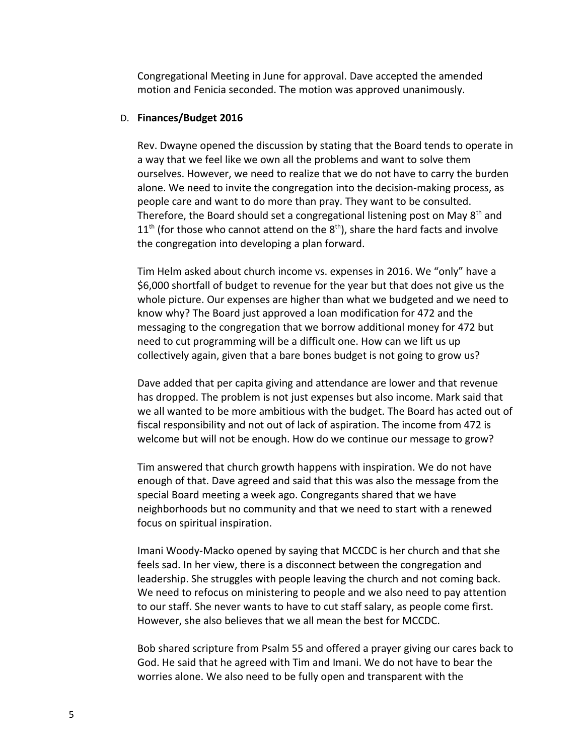Congregational Meeting in June for approval. Dave accepted the amended motion and Fenicia seconded. The motion was approved unanimously.

### D. **Finances/Budget 2016**

Rev. Dwayne opened the discussion by stating that the Board tends to operate in a way that we feel like we own all the problems and want to solve them ourselves. However, we need to realize that we do not have to carry the burden alone. We need to invite the congregation into the decision-making process, as people care and want to do more than pray. They want to be consulted. Therefore, the Board should set a congregational listening post on May  $8<sup>th</sup>$  and  $11<sup>th</sup>$  (for those who cannot attend on the  $8<sup>th</sup>$ ), share the hard facts and involve the congregation into developing a plan forward.

Tim Helm asked about church income vs. expenses in 2016. We "only" have a \$6,000 shortfall of budget to revenue for the year but that does not give us the whole picture. Our expenses are higher than what we budgeted and we need to know why? The Board just approved a loan modification for 472 and the messaging to the congregation that we borrow additional money for 472 but need to cut programming will be a difficult one. How can we lift us up collectively again, given that a bare bones budget is not going to grow us?

Dave added that per capita giving and attendance are lower and that revenue has dropped. The problem is not just expenses but also income. Mark said that we all wanted to be more ambitious with the budget. The Board has acted out of fiscal responsibility and not out of lack of aspiration. The income from 472 is welcome but will not be enough. How do we continue our message to grow?

Tim answered that church growth happens with inspiration. We do not have enough of that. Dave agreed and said that this was also the message from the special Board meeting a week ago. Congregants shared that we have neighborhoods but no community and that we need to start with a renewed focus on spiritual inspiration.

Imani Woody-Macko opened by saying that MCCDC is her church and that she feels sad. In her view, there is a disconnect between the congregation and leadership. She struggles with people leaving the church and not coming back. We need to refocus on ministering to people and we also need to pay attention to our staff. She never wants to have to cut staff salary, as people come first. However, she also believes that we all mean the best for MCCDC.

Bob shared scripture from Psalm 55 and offered a prayer giving our cares back to God. He said that he agreed with Tim and Imani. We do not have to bear the worries alone. We also need to be fully open and transparent with the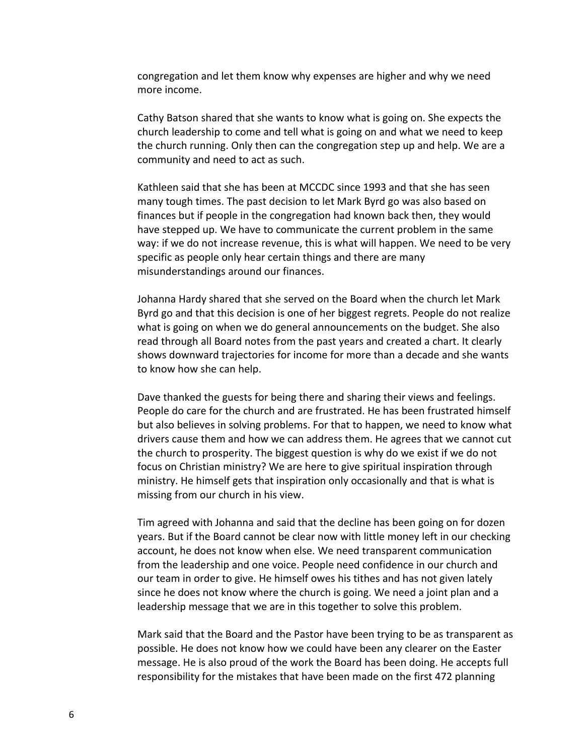congregation and let them know why expenses are higher and why we need more income.

Cathy Batson shared that she wants to know what is going on. She expects the church leadership to come and tell what is going on and what we need to keep the church running. Only then can the congregation step up and help. We are a community and need to act as such.

Kathleen said that she has been at MCCDC since 1993 and that she has seen many tough times. The past decision to let Mark Byrd go was also based on finances but if people in the congregation had known back then, they would have stepped up. We have to communicate the current problem in the same way: if we do not increase revenue, this is what will happen. We need to be very specific as people only hear certain things and there are many misunderstandings around our finances.

Johanna Hardy shared that she served on the Board when the church let Mark Byrd go and that this decision is one of her biggest regrets. People do not realize what is going on when we do general announcements on the budget. She also read through all Board notes from the past years and created a chart. It clearly shows downward trajectories for income for more than a decade and she wants to know how she can help.

Dave thanked the guests for being there and sharing their views and feelings. People do care for the church and are frustrated. He has been frustrated himself but also believes in solving problems. For that to happen, we need to know what drivers cause them and how we can address them. He agrees that we cannot cut the church to prosperity. The biggest question is why do we exist if we do not focus on Christian ministry? We are here to give spiritual inspiration through ministry. He himself gets that inspiration only occasionally and that is what is missing from our church in his view.

Tim agreed with Johanna and said that the decline has been going on for dozen years. But if the Board cannot be clear now with little money left in our checking account, he does not know when else. We need transparent communication from the leadership and one voice. People need confidence in our church and our team in order to give. He himself owes his tithes and has not given lately since he does not know where the church is going. We need a joint plan and a leadership message that we are in this together to solve this problem.

Mark said that the Board and the Pastor have been trying to be as transparent as possible. He does not know how we could have been any clearer on the Easter message. He is also proud of the work the Board has been doing. He accepts full responsibility for the mistakes that have been made on the first 472 planning